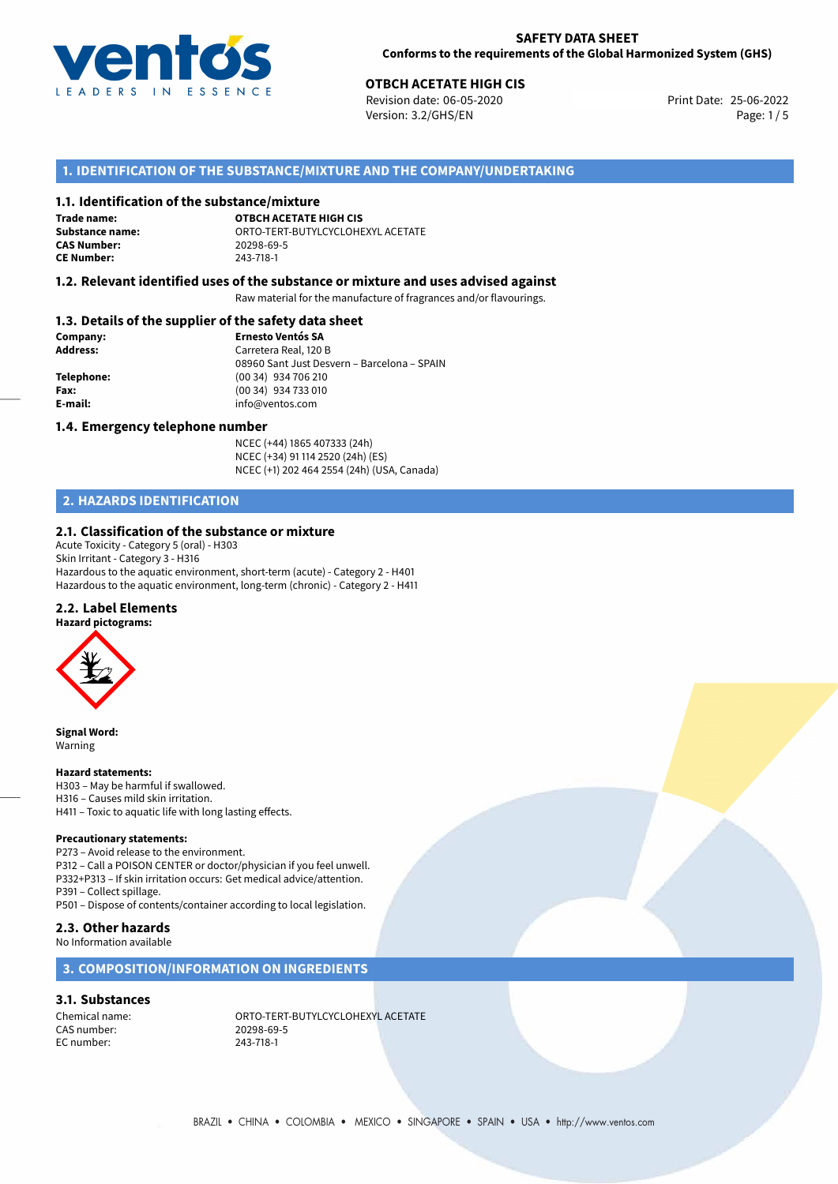

# **OTBCH ACETATE HIGH CIS**<br>
Revision date: 06-05-2020<br> **Print Date: 25-06-2022**

Revision date: 06-05-2020 Version: 3.2/GHS/EN Page: 1/5

# **1. IDENTIFICATION OF THE SUBSTANCE/MIXTURE AND THE COMPANY/UNDERTAKING**

#### **1.1. Identification of the substance/mixture**

**Trade name: CAS Number: CE Number:** 243-718-1

**OTBCH ACETATE HIGH CIS Substance name:** ORTO-TERT-BUTYLCYCLOHEXYL ACETATE

### **1.2. Relevant identified uses of the substance or mixture and uses advised against**

Raw material for the manufacture of fragrances and/or flavourings.

# **1.3. Details of the supplier of the safety data sheet**

| Company:        | <b>Ernesto Ventós SA</b>                    |
|-----------------|---------------------------------------------|
| <b>Address:</b> | Carretera Real, 120 B                       |
|                 | 08960 Sant Just Desvern - Barcelona - SPAIN |
| Telephone:      | (00 34) 934 706 210                         |
| Fax:            | (00 34) 934 733 010                         |
| E-mail:         | info@ventos.com                             |
|                 |                                             |

#### **1.4. Emergency telephone number**

NCEC (+44) 1865 407333 (24h) NCEC (+34) 91 114 2520 (24h) (ES) NCEC (+1) 202 464 2554 (24h) (USA, Canada)

# **2. HAZARDS IDENTIFICATION**

#### **2.1. Classification of the substance or mixture**

Acute Toxicity - Category 5 (oral) - H303 Skin Irritant - Category 3 - H316 Hazardous to the aquatic environment, short-term (acute) - Category 2 - H401 Hazardous to the aquatic environment, long-term (chronic) - Category 2 - H411

### **2.2. Label Elements**

**Hazard pictograms:**



**Signal Word:** Warning

#### **Hazard statements:**

H303 – May be harmful if swallowed. H316 – Causes mild skin irritation.

H411 – Toxic to aquatic life with long lasting effects.

#### **Precautionary statements:**

P273 – Avoid release to the environment. P312 – Call a POISON CENTER or doctor/physician if you feel unwell. P332+P313 – If skin irritation occurs: Get medical advice/attention. P391 – Collect spillage.

P501 – Dispose of contents/container according to local legislation.

### **2.3. Other hazards**

No Information available

# **3. COMPOSITION/INFORMATION ON INGREDIENTS**

#### **3.1. Substances**

CAS number: 20298-69<br>EC number: 243-718-1 EC number:

Chemical name: CHEMIC ORTO-TERT-BUTYLCYCLOHEXYL ACETATE<br>
CAS number: 20298-69-5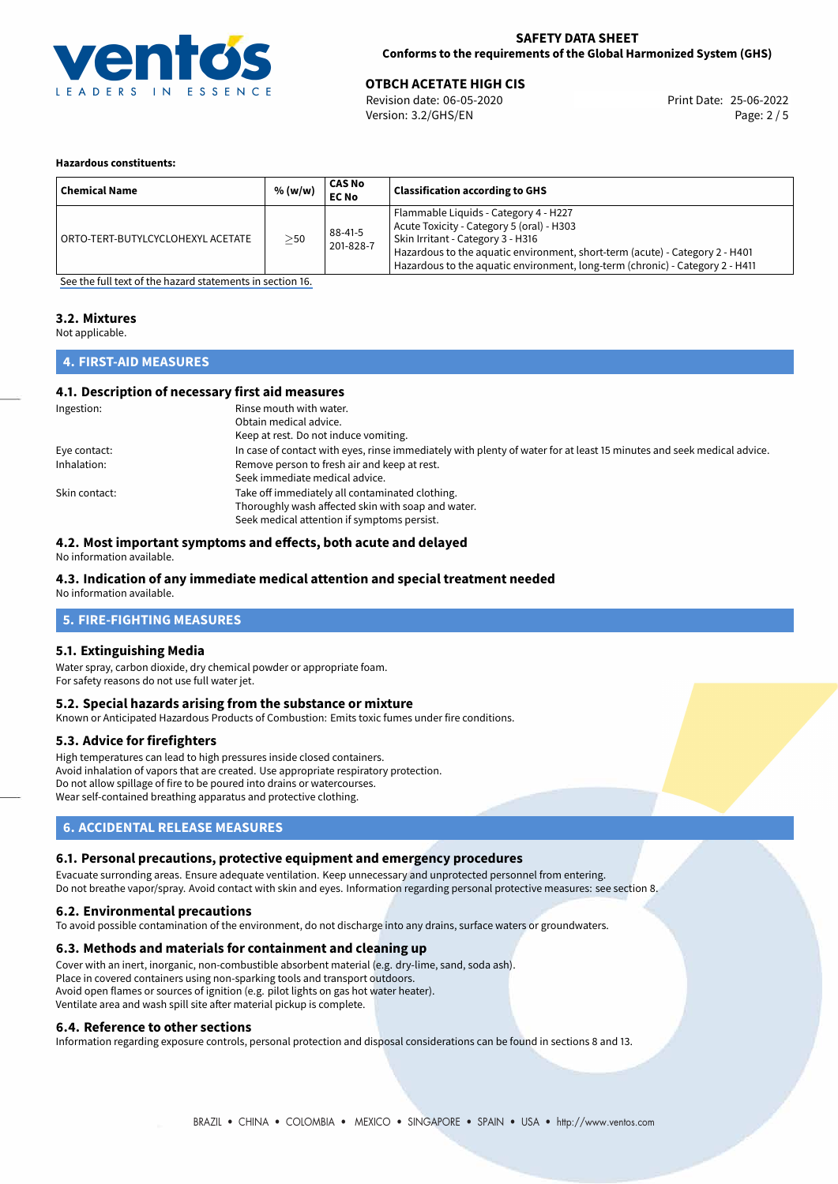

# **OTBCH ACETATE HIGH CIS**<br>
Revision date: 06-05-2020 **Print Date: 25-06-2022**

Version: 3.2/GHS/EN Page: 2 / 5

#### **Hazardous constituents:**

| <b>Chemical Name</b>              | % (w/w)   | CAS No<br><b>EC No</b> | <b>Classification according to GHS</b>                                                                                                                                                                                                                                                   |
|-----------------------------------|-----------|------------------------|------------------------------------------------------------------------------------------------------------------------------------------------------------------------------------------------------------------------------------------------------------------------------------------|
| ORTO-TERT-BUTYLCYCLOHEXYL ACETATE | $\geq$ 50 | 88-41-5<br>201-828-7   | Flammable Liquids - Category 4 - H227<br>Acute Toxicity - Category 5 (oral) - H303<br>Skin Irritant - Category 3 - H316<br>Hazardous to the aquatic environment, short-term (acute) - Category 2 - H401<br>Hazardous to the aquatic environment, long-term (chronic) - Category 2 - H411 |

[See the full text of the hazard statements in section 16.](#page-4-0)

#### **3.2. Mixtures**

Not applicable.

# **4. FIRST-AID MEASURES**

# **4.1. Description of necessary first aid measures**

| Ingestion:    | Rinse mouth with water.                                                                                               |
|---------------|-----------------------------------------------------------------------------------------------------------------------|
|               | Obtain medical advice.                                                                                                |
|               | Keep at rest. Do not induce vomiting.                                                                                 |
| Eye contact:  | In case of contact with eyes, rinse immediately with plenty of water for at least 15 minutes and seek medical advice. |
| Inhalation:   | Remove person to fresh air and keep at rest.                                                                          |
|               | Seek immediate medical advice.                                                                                        |
| Skin contact: | Take off immediately all contaminated clothing.                                                                       |
|               | Thoroughly wash affected skin with soap and water.                                                                    |
|               | Seek medical attention if symptoms persist.                                                                           |

## **4.2. Most important symptoms and effects, both acute and delayed**

No information available.

# **4.3. Indication of any immediate medical attention and special treatment needed**

No information available.

# **5. FIRE-FIGHTING MEASURES**

## **5.1. Extinguishing Media**

Water spray, carbon dioxide, dry chemical powder or appropriate foam. For safety reasons do not use full water jet.

## **5.2. Special hazards arising from the substance or mixture**

Known or Anticipated Hazardous Products of Combustion: Emits toxic fumes under fire conditions.

## **5.3. Advice for firefighters**

High temperatures can lead to high pressures inside closed containers. Avoid inhalation of vapors that are created. Use appropriate respiratory protection. Do not allow spillage of fire to be poured into drains or watercourses. Wear self-contained breathing apparatus and protective clothing.

# **6. ACCIDENTAL RELEASE MEASURES**

## **6.1. Personal precautions, protective equipment and emergency procedures**

Evacuate surronding areas. Ensure adequate ventilation. Keep unnecessary and unprotected personnel from entering. Do not breathe vapor/spray. Avoid contact with skin and eyes. Information regarding personal protective measures: see section 8.

#### **6.2. Environmental precautions**

To avoid possible contamination of the environment, do not discharge into any drains, surface waters or groundwaters.

## **6.3. Methods and materials for containment and cleaning up**

Cover with an inert, inorganic, non-combustible absorbent material (e.g. dry-lime, sand, soda ash). Place in covered containers using non-sparking tools and transport outdoors. Avoid open flames or sources of ignition (e.g. pilot lights on gas hot water heater). Ventilate area and wash spill site after material pickup is complete.

## **6.4. Reference to other sections**

Information regarding exposure controls, personal protection and disposal considerations can be found in sections 8 and 13.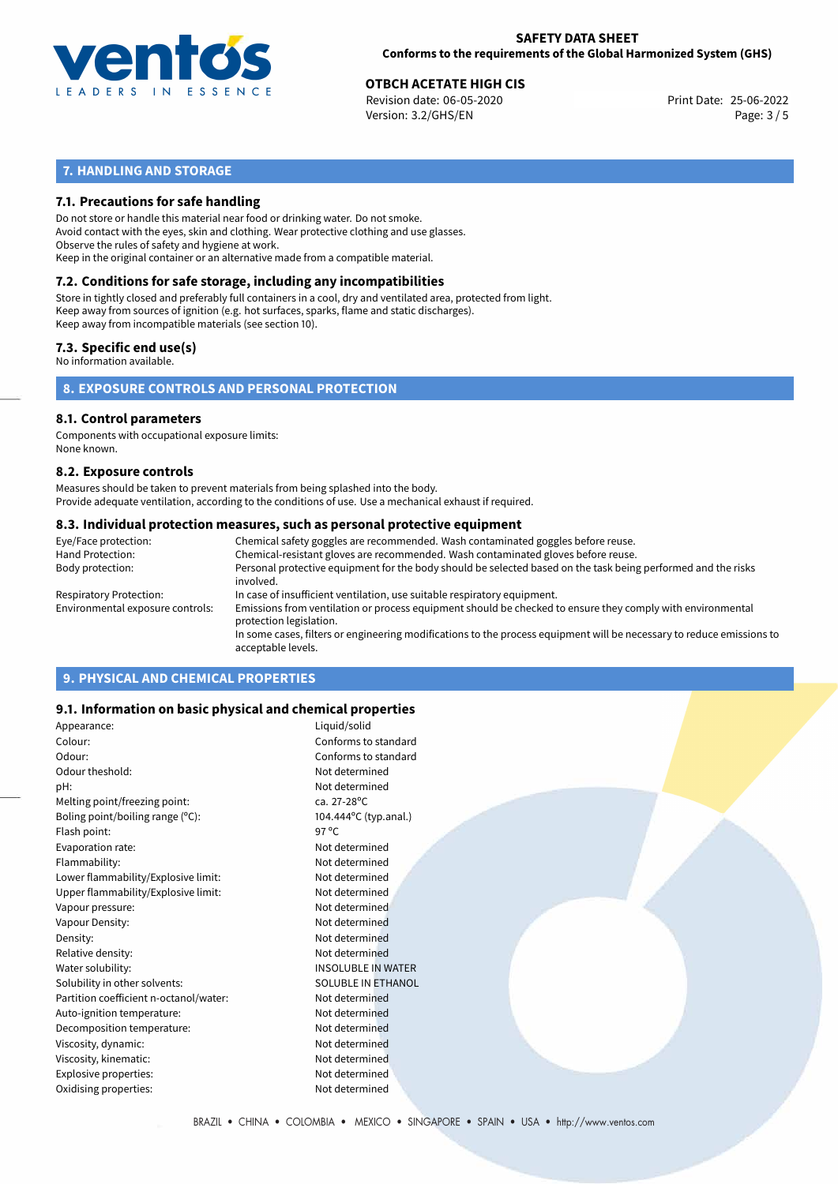

# **OTBCH ACETATE HIGH CIS**<br>
Revision date: 06-05-2020<br> **Print Date: 25-06-2022**

Revision date: 06-05-2020 Version: 3.2/GHS/EN Page: 3 / 5

# **7. HANDLING AND STORAGE**

# **7.1. Precautions for safe handling**

Do not store or handle this material near food or drinking water. Do not smoke. Avoid contact with the eyes, skin and clothing. Wear protective clothing and use glasses. Observe the rules of safety and hygiene at work. Keep in the original container or an alternative made from a compatible material.

# **7.2. Conditions for safe storage, including any incompatibilities**

Store in tightly closed and preferably full containers in a cool, dry and ventilated area, protected from light. Keep away from sources of ignition (e.g. hot surfaces, sparks, flame and static discharges). Keep away from incompatible materials (see section 10).

## **7.3. Specific end use(s)**

No information available.

**8. EXPOSURE CONTROLS AND PERSONAL PROTECTION**

#### **8.1. Control parameters**

Components with occupational exposure limits: None known.

#### **8.2. Exposure controls**

Measures should be taken to prevent materials from being splashed into the body. Provide adequate ventilation, according to the conditions of use. Use a mechanical exhaust if required.

#### **8.3. Individual protection measures, such as personal protective equipment**

| Eye/Face protection:             | Chemical safety goggles are recommended. Wash contaminated goggles before reuse.                                                            |
|----------------------------------|---------------------------------------------------------------------------------------------------------------------------------------------|
| Hand Protection:                 | Chemical-resistant gloves are recommended. Wash contaminated gloves before reuse.                                                           |
| Body protection:                 | Personal protective equipment for the body should be selected based on the task being performed and the risks<br>involved.                  |
| Respiratory Protection:          | In case of insufficient ventilation, use suitable respiratory equipment.                                                                    |
| Environmental exposure controls: | Emissions from ventilation or process equipment should be checked to ensure they comply with environmental<br>protection legislation.       |
|                                  | In some cases, filters or engineering modifications to the process equipment will be necessary to reduce emissions to<br>acceptable levels. |
|                                  |                                                                                                                                             |

# **9. PHYSICAL AND CHEMICAL PROPERTIES**

## **9.1. Information on basic physical and chemical properties**

| Appearance:                            | Liquid/solid              |  |  |
|----------------------------------------|---------------------------|--|--|
| Colour:                                | Conforms to standard      |  |  |
| Odour:                                 | Conforms to standard      |  |  |
| Odour theshold:                        | Not determined            |  |  |
| pH:                                    | Not determined            |  |  |
| Melting point/freezing point:          | ca. 27-28°C               |  |  |
| Boling point/boiling range (°C):       | 104.444°C (typ.anal.)     |  |  |
| Flash point:                           | 97 $^{\circ}$ C           |  |  |
| Evaporation rate:                      | Not determined            |  |  |
| Flammability:                          | Not determined            |  |  |
| Lower flammability/Explosive limit:    | Not determined            |  |  |
| Upper flammability/Explosive limit:    | Not determined            |  |  |
| Vapour pressure:                       | Not determined            |  |  |
| Vapour Density:                        | Not determined            |  |  |
| Density:                               | Not determined            |  |  |
| Relative density:                      | Not determined            |  |  |
| Water solubility:                      | <b>INSOLUBLE IN WATER</b> |  |  |
| Solubility in other solvents:          | SOLUBLE IN ETHANOL        |  |  |
| Partition coefficient n-octanol/water: | Not determined            |  |  |
| Auto-ignition temperature:             | Not determined            |  |  |
| Decomposition temperature:             | Not determined            |  |  |
| Viscosity, dynamic:                    | Not determined            |  |  |
| Viscosity, kinematic:                  | Not determined            |  |  |
| Explosive properties:                  | Not determined            |  |  |
| Oxidising properties:                  | Not determined            |  |  |
|                                        |                           |  |  |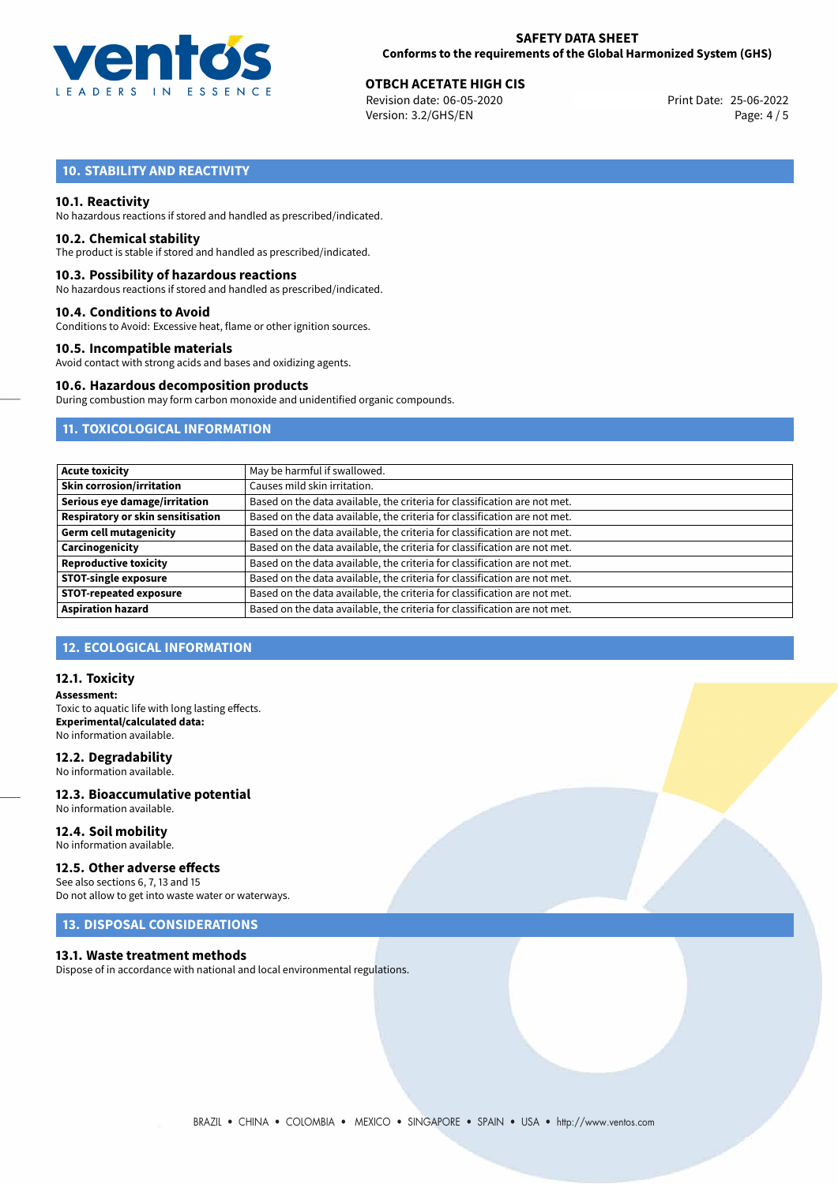

# **OTBCH ACETATE HIGH CIS**<br>
Revision date: 06-05-2020<br> **Print Date: 25-06-2022**

Revision date: 06-05-2020 Version: 3.2/GHS/EN Page: 4 / 5

# **10. STABILITY AND REACTIVITY**

## **10.1. Reactivity**

No hazardous reactions if stored and handled as prescribed/indicated.

#### **10.2. Chemical stability**

The product is stable if stored and handled as prescribed/indicated.

#### **10.3. Possibility of hazardous reactions**

No hazardous reactions if stored and handled as prescribed/indicated.

#### **10.4. Conditions to Avoid**

Conditions to Avoid: Excessive heat, flame or other ignition sources.

## **10.5. Incompatible materials**

Avoid contact with strong acids and bases and oxidizing agents.

# **10.6. Hazardous decomposition products**

During combustion may form carbon monoxide and unidentified organic compounds.

# **11. TOXICOLOGICAL INFORMATION**

| <b>Acute toxicity</b>             | May be harmful if swallowed.                                              |
|-----------------------------------|---------------------------------------------------------------------------|
| <b>Skin corrosion/irritation</b>  | Causes mild skin irritation.                                              |
| Serious eye damage/irritation     | Based on the data available, the criteria for classification are not met. |
| Respiratory or skin sensitisation | Based on the data available, the criteria for classification are not met. |
| <b>Germ cell mutagenicity</b>     | Based on the data available, the criteria for classification are not met. |
| Carcinogenicity                   | Based on the data available, the criteria for classification are not met. |
| <b>Reproductive toxicity</b>      | Based on the data available, the criteria for classification are not met. |
| <b>STOT-single exposure</b>       | Based on the data available, the criteria for classification are not met. |
| <b>STOT-repeated exposure</b>     | Based on the data available, the criteria for classification are not met. |
| <b>Aspiration hazard</b>          | Based on the data available, the criteria for classification are not met. |

# **12. ECOLOGICAL INFORMATION**

### **12.1. Toxicity**

**Assessment:** Toxic to aquatic life with long lasting effects. **Experimental/calculated data:** No information available.

# **12.2. Degradability**

No information available.

#### **12.3. Bioaccumulative potential** No information available.

**12.4. Soil mobility** No information available.

## **12.5. Other adverse effects**

See also sections 6, 7, 13 and 15 Do not allow to get into waste water or waterways.

# **13. DISPOSAL CONSIDERATIONS**

#### **13.1. Waste treatment methods**

Dispose of in accordance with national and local environmental regulations.